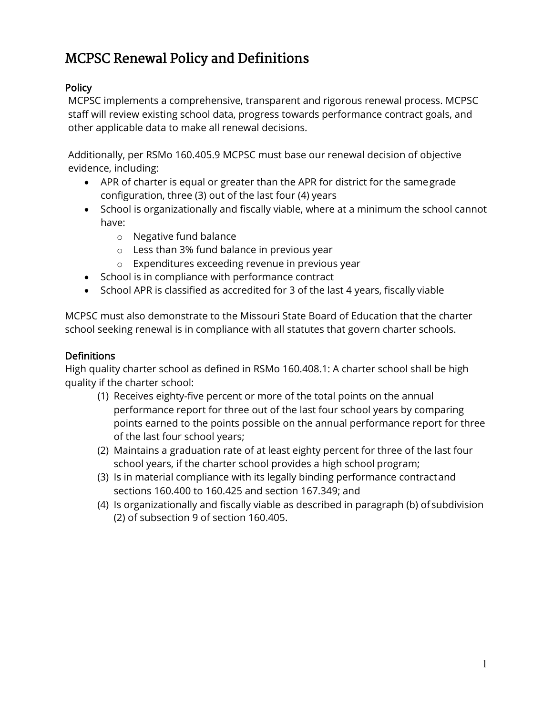# MCPSC Renewal Policy and Definitions

### **Policy**

MCPSC implements a comprehensive, transparent and rigorous renewal process. MCPSC staff will review existing school data, progress towards performance contract goals, and other applicable data to make all renewal decisions.

Additionally, per RSMo 160.405.9 MCPSC must base our renewal decision of objective evidence, including:

- APR of charter is equal or greater than the APR for district for the samegrade configuration, three (3) out of the last four (4) years
- School is organizationally and fiscally viable, where at a minimum the school cannot have:
	- o Negative fund balance
	- o Less than 3% fund balance in previous year
	- o Expenditures exceeding revenue in previous year
- School is in compliance with performance contract
- School APR is classified as accredited for 3 of the last 4 years, fiscally viable

MCPSC must also demonstrate to the Missouri State Board of Education that the charter school seeking renewal is in compliance with all statutes that govern charter schools.

#### **Definitions**

High quality charter school as defined in RSMo 160.408.1: A charter school shall be high quality if the charter school:

- (1) Receives eighty-five percent or more of the total points on the annual performance report for three out of the last four school years by comparing points earned to the points possible on the annual performance report for three of the last four school years;
- (2) Maintains a graduation rate of at least eighty percent for three of the last four school years, if the charter school provides a high school program;
- (3) Is in material compliance with its legally binding performance contractand sections 160.400 to 160.425 and section 167.349; and
- (4) Is organizationally and fiscally viable as described in paragraph (b) ofsubdivision (2) of subsection 9 of section 160.405.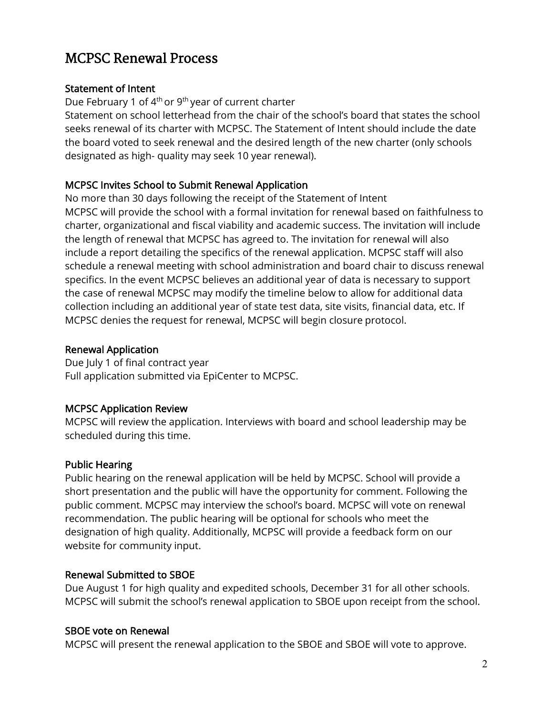## MCPSC Renewal Process

#### Statement of Intent

Due February 1 of  $4<sup>th</sup>$  or  $9<sup>th</sup>$  year of current charter

Statement on school letterhead from the chair of the school's board that states the school seeks renewal of its charter with MCPSC. The Statement of Intent should include the date the board voted to seek renewal and the desired length of the new charter (only schools designated as high- quality may seek 10 year renewal).

#### MCPSC Invites School to Submit Renewal Application

No more than 30 days following the receipt of the Statement of Intent MCPSC will provide the school with a formal invitation for renewal based on faithfulness to charter, organizational and fiscal viability and academic success. The invitation will include the length of renewal that MCPSC has agreed to. The invitation for renewal will also include a report detailing the specifics of the renewal application. MCPSC staff will also schedule a renewal meeting with school administration and board chair to discuss renewal specifics. In the event MCPSC believes an additional year of data is necessary to support the case of renewal MCPSC may modify the timeline below to allow for additional data collection including an additional year of state test data, site visits, financial data, etc. If MCPSC denies the request for renewal, MCPSC will begin closure protocol.

#### Renewal Application

Due July 1 of final contract year Full application submitted via EpiCenter to MCPSC.

#### MCPSC Application Review

MCPSC will review the application. Interviews with board and school leadership may be scheduled during this time.

#### Public Hearing

Public hearing on the renewal application will be held by MCPSC. School will provide a short presentation and the public will have the opportunity for comment. Following the public comment. MCPSC may interview the school's board. MCPSC will vote on renewal recommendation. The public hearing will be optional for schools who meet the designation of high quality. Additionally, MCPSC will provide a feedback form on our website for community input.

#### Renewal Submitted to SBOE

Due August 1 for high quality and expedited schools, December 31 for all other schools. MCPSC will submit the school's renewal application to SBOE upon receipt from the school.

#### SBOE vote on Renewal

MCPSC will present the renewal application to the SBOE and SBOE will vote to approve.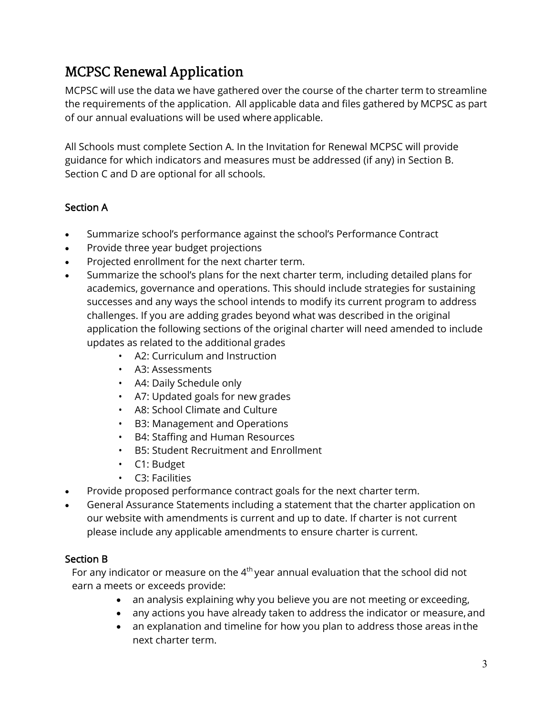# MCPSC Renewal Application

MCPSC will use the data we have gathered over the course of the charter term to streamline the requirements of the application. All applicable data and files gathered by MCPSC as part of our annual evaluations will be used where applicable.

All Schools must complete Section A. In the Invitation for Renewal MCPSC will provide guidance for which indicators and measures must be addressed (if any) in Section B. Section C and D are optional for all schools.

### Section A

- Summarize school's performance against the school's Performance Contract
- Provide three year budget projections
- Projected enrollment for the next charter term.
- Summarize the school's plans for the next charter term, including detailed plans for academics, governance and operations. This should include strategies for sustaining successes and any ways the school intends to modify its current program to address challenges. If you are adding grades beyond what was described in the original application the following sections of the original charter will need amended to include updates as related to the additional grades
	- A2: Curriculum and Instruction
	- A3: Assessments
	- A4: Daily Schedule only
	- A7: Updated goals for new grades
	- A8: School Climate and Culture
	- B3: Management and Operations
	- B4: Staffing and Human Resources
	- B5: Student Recruitment and Enrollment
	- C1: Budget
	- C3: Facilities
- Provide proposed performance contract goals for the next charter term.
- General Assurance Statements including a statement that the charter application on our website with amendments is current and up to date. If charter is not current please include any applicable amendments to ensure charter is current.

#### Section B

For any indicator or measure on the  $4<sup>th</sup>$  year annual evaluation that the school did not earn a meets or exceeds provide:

- an analysis explaining why you believe you are not meeting or exceeding,
- any actions you have already taken to address the indicator or measure, and
- an explanation and timeline for how you plan to address those areas inthe next charter term.